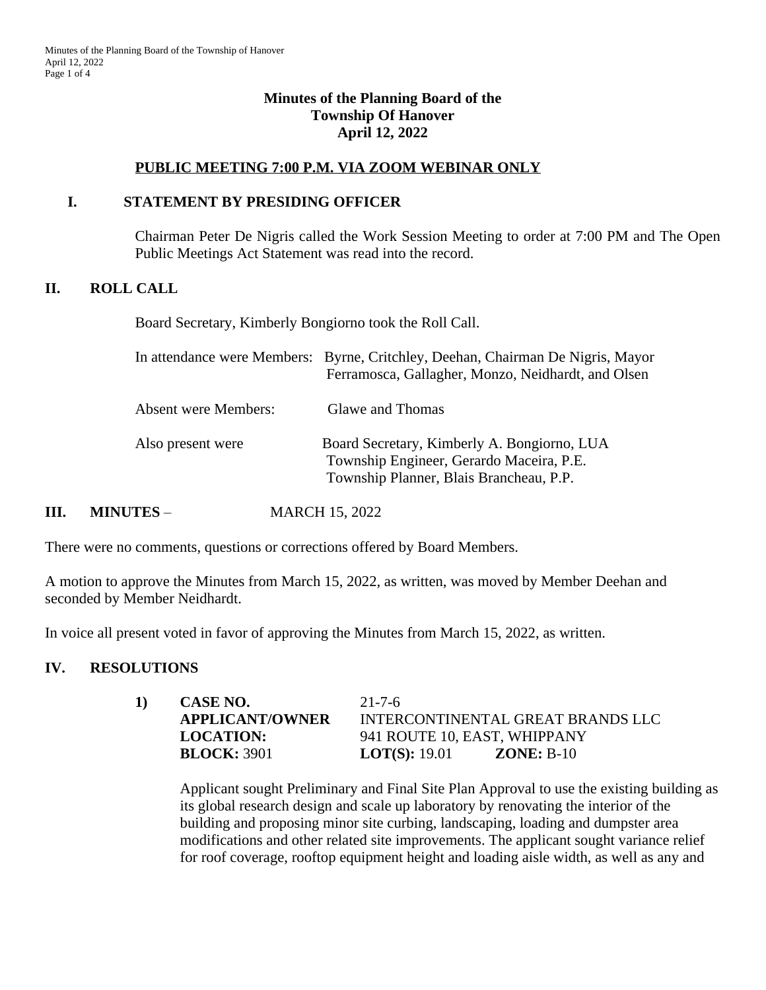### **Minutes of the Planning Board of the Township Of Hanover April 12, 2022**

### **PUBLIC MEETING 7:00 P.M. VIA ZOOM WEBINAR ONLY**

#### **I. STATEMENT BY PRESIDING OFFICER**

Chairman Peter De Nigris called the Work Session Meeting to order at 7:00 PM and The Open Public Meetings Act Statement was read into the record.

#### **II. ROLL CALL**

Board Secretary, Kimberly Bongiorno took the Roll Call.

|                             | In attendance were Members: Byrne, Critchley, Deehan, Chairman De Nigris, Mayor<br>Ferramosca, Gallagher, Monzo, Neidhardt, and Olsen |
|-----------------------------|---------------------------------------------------------------------------------------------------------------------------------------|
| <b>Absent were Members:</b> | Glawe and Thomas                                                                                                                      |
| Also present were           | Board Secretary, Kimberly A. Bongiorno, LUA<br>Township Engineer, Gerardo Maceira, P.E.<br>Township Planner, Blais Brancheau, P.P.    |

**III. MINUTES** – **MARCH 15, 2022** 

There were no comments, questions or corrections offered by Board Members.

A motion to approve the Minutes from March 15, 2022, as written, was moved by Member Deehan and seconded by Member Neidhardt.

In voice all present voted in favor of approving the Minutes from March 15, 2022, as written.

#### **IV. RESOLUTIONS**

| 1) | CASE NO.               | $21 - 7 - 6$                         |
|----|------------------------|--------------------------------------|
|    | <b>APPLICANT/OWNER</b> | INTERCONTINENTAL GREAT BRANDS LLC    |
|    | <b>LOCATION:</b>       | 941 ROUTE 10, EAST, WHIPPANY         |
|    | <b>BLOCK: 3901</b>     | <b>LOT(S):</b> 19.01<br>$ZONE: B-10$ |

Applicant sought Preliminary and Final Site Plan Approval to use the existing building as its global research design and scale up laboratory by renovating the interior of the building and proposing minor site curbing, landscaping, loading and dumpster area modifications and other related site improvements. The applicant sought variance relief for roof coverage, rooftop equipment height and loading aisle width, as well as any and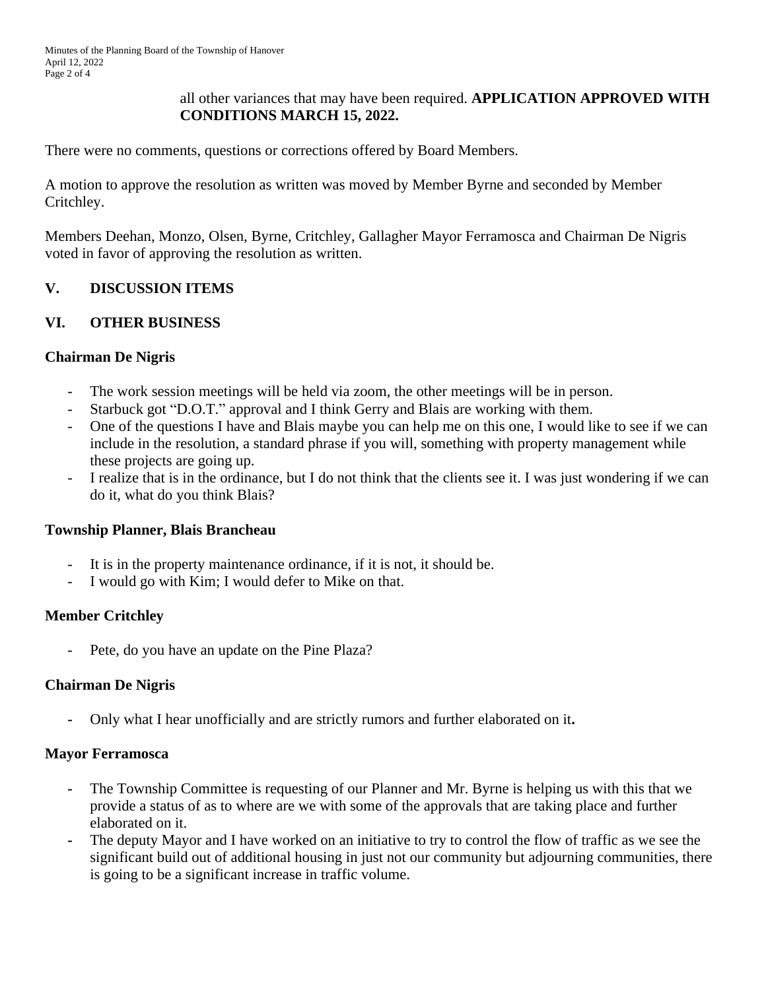# all other variances that may have been required. **APPLICATION APPROVED WITH CONDITIONS MARCH 15, 2022.**

There were no comments, questions or corrections offered by Board Members.

A motion to approve the resolution as written was moved by Member Byrne and seconded by Member Critchley.

Members Deehan, Monzo, Olsen, Byrne, Critchley, Gallagher Mayor Ferramosca and Chairman De Nigris voted in favor of approving the resolution as written.

# **V. DISCUSSION ITEMS**

### **VI. OTHER BUSINESS**

#### **Chairman De Nigris**

- The work session meetings will be held via zoom, the other meetings will be in person.
- Starbuck got "D.O.T." approval and I think Gerry and Blais are working with them.
- One of the questions I have and Blais maybe you can help me on this one, I would like to see if we can include in the resolution, a standard phrase if you will, something with property management while these projects are going up.
- I realize that is in the ordinance, but I do not think that the clients see it. I was just wondering if we can do it, what do you think Blais?

#### **Township Planner, Blais Brancheau**

- It is in the property maintenance ordinance, if it is not, it should be.
- I would go with Kim; I would defer to Mike on that.

# **Member Critchley**

- Pete, do you have an update on the Pine Plaza?

#### **Chairman De Nigris**

**-** Only what I hear unofficially and are strictly rumors and further elaborated on it**.**

#### **Mayor Ferramosca**

- **-** The Township Committee is requesting of our Planner and Mr. Byrne is helping us with this that we provide a status of as to where are we with some of the approvals that are taking place and further elaborated on it.
- **-** The deputy Mayor and I have worked on an initiative to try to control the flow of traffic as we see the significant build out of additional housing in just not our community but adjourning communities, there is going to be a significant increase in traffic volume.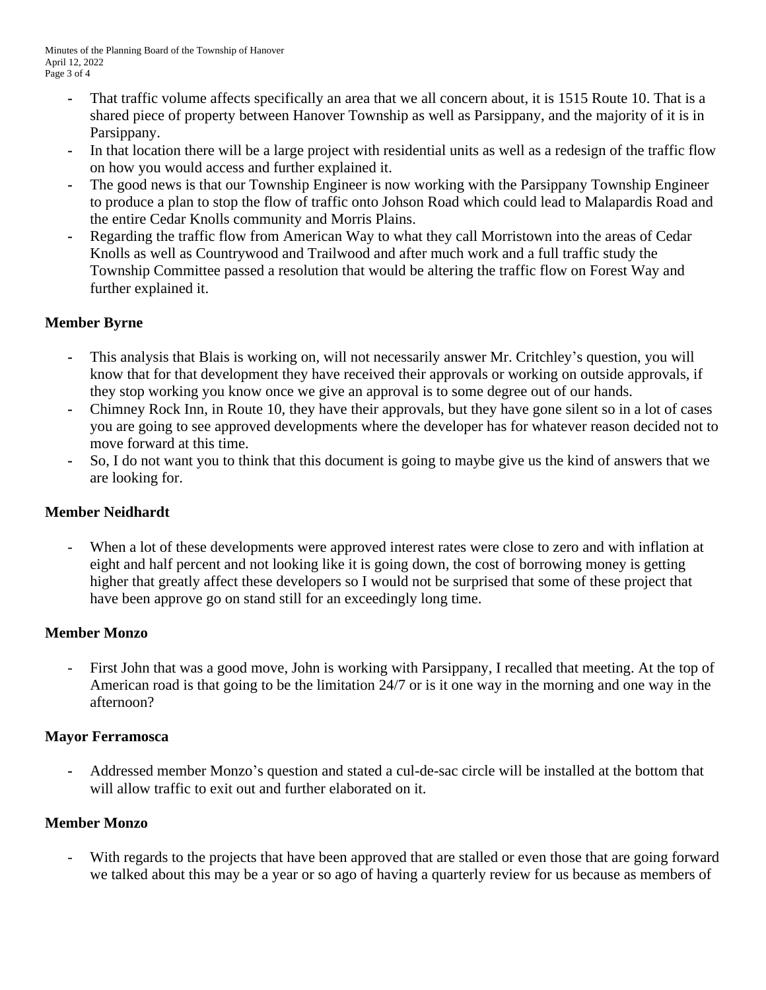- **-** That traffic volume affects specifically an area that we all concern about, it is 1515 Route 10. That is a shared piece of property between Hanover Township as well as Parsippany, and the majority of it is in Parsippany.
- **-** In that location there will be a large project with residential units as well as a redesign of the traffic flow on how you would access and further explained it.
- **-** The good news is that our Township Engineer is now working with the Parsippany Township Engineer to produce a plan to stop the flow of traffic onto Johson Road which could lead to Malapardis Road and the entire Cedar Knolls community and Morris Plains.
- **-** Regarding the traffic flow from American Way to what they call Morristown into the areas of Cedar Knolls as well as Countrywood and Trailwood and after much work and a full traffic study the Township Committee passed a resolution that would be altering the traffic flow on Forest Way and further explained it.

# **Member Byrne**

- **-** This analysis that Blais is working on, will not necessarily answer Mr. Critchley's question, you will know that for that development they have received their approvals or working on outside approvals, if they stop working you know once we give an approval is to some degree out of our hands.
- **-** Chimney Rock Inn, in Route 10, they have their approvals, but they have gone silent so in a lot of cases you are going to see approved developments where the developer has for whatever reason decided not to move forward at this time.
- **-** So, I do not want you to think that this document is going to maybe give us the kind of answers that we are looking for.

# **Member Neidhardt**

- When a lot of these developments were approved interest rates were close to zero and with inflation at eight and half percent and not looking like it is going down, the cost of borrowing money is getting higher that greatly affect these developers so I would not be surprised that some of these project that have been approve go on stand still for an exceedingly long time.

# **Member Monzo**

First John that was a good move, John is working with Parsippany, I recalled that meeting. At the top of American road is that going to be the limitation 24/7 or is it one way in the morning and one way in the afternoon?

# **Mayor Ferramosca**

**-** Addressed member Monzo's question and stated a cul-de-sac circle will be installed at the bottom that will allow traffic to exit out and further elaborated on it.

# **Member Monzo**

With regards to the projects that have been approved that are stalled or even those that are going forward we talked about this may be a year or so ago of having a quarterly review for us because as members of